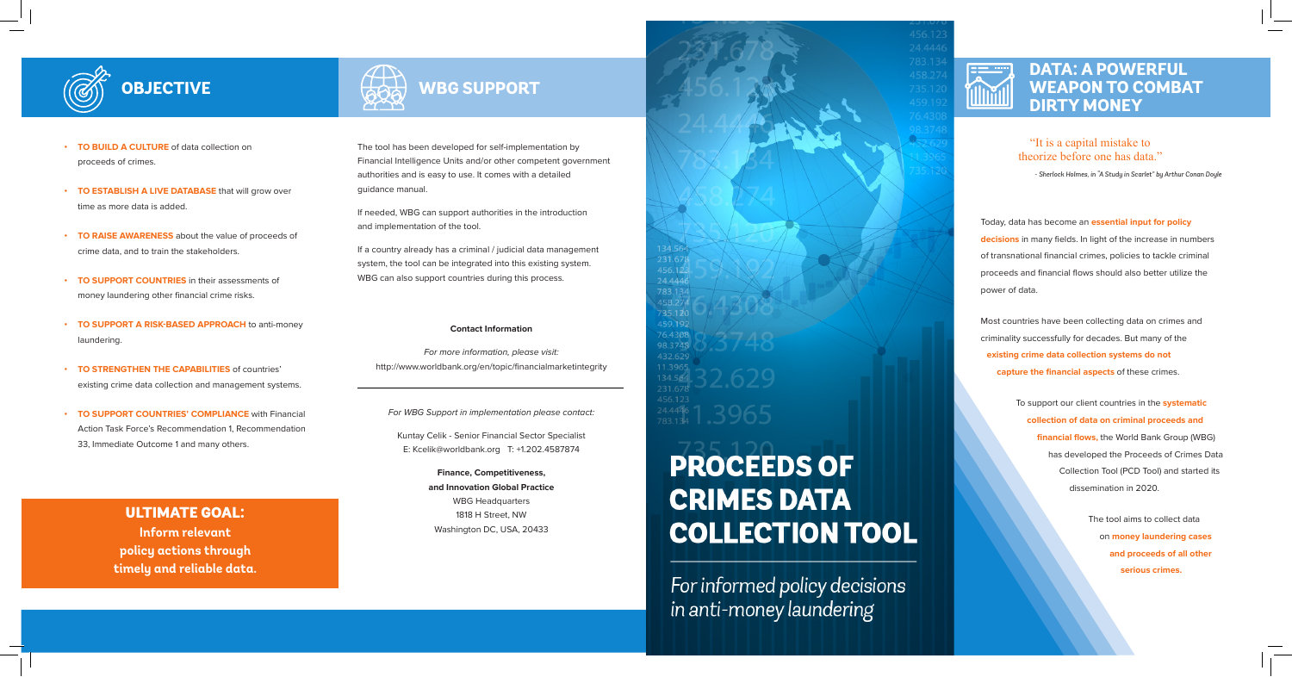- **• TO BUILD A CULTURE** of data collection on proceeds of crimes.
- **• TO ESTABLISH A LIVE DATABASE** that will grow over time as more data is added
- **• TO RAISE AWARENESS** about the value of proceeds of crime data, and to train the stakeholders.
- **FO SUPPORT COUNTRIES** in their assessments of money laundering other financial crime risks.
- **• TO SUPPORT A RISK-BASED APPROACH** to anti-money laundering.
- **• TO STRENGTHEN THE CAPABILITIES** of countries' existing crime data collection and management systems.
- *TO* **SUPPORT COUNTRIES' COMPLIANCE** with Financial Action Task Force's Recommendation 1, Recommendation 33, Immediate Outcome 1 and many others.

Today, data has become an **essential input for policy decisions** in many fields. In light of the increase in numbers of transnational financial crimes, policies to tackle criminal proceeds and financial flows should also better utilize the power of data.

If a country already has a criminal / judicial data management system, the tool can be integrated into this existing system. WBG can also support countries during this process.

> Most countries have been collecting data on crimes and criminality successfully for decades. But many of the **existing crime data collection systems do not capture the financial aspects** of these crimes.

> > To support our client countries in the **systematic collection of data on criminal proceeds and financial flows,** the World Bank Group (WBG) has developed the Proceeds of Crimes Data Collection Tool (PCD Tool) and started its dissemination in 2020.

> > > The tool aims to collect data on **money laundering cases and proceeds of all other serious crimes.**

## ULTIMATE GOAL:

**Inform relevant policy actions through timely and reliable data.**

The tool has been developed for self-implementation by Financial Intelligence Units and/or other competent government authorities and is easy to use. It comes with a detailed guidance manual.

If needed, WBG can support authorities in the introduction and implementation of the tool.

### **Contact Information**

*For more information, please visit:*  http://www.worldbank.org/en/topic/financialmarketintegrity

*For WBG Support in implementation please contact:*

Kuntay Celik - Senior Financial Sector Specialist E: Kcelik@worldbank.org T: +1.202.4587874

> **Finance, Competitiveness, and Innovation Global Practice** WBG Headquarters 1818 H Street, NW Washington DC, USA, 20433

# 24.444 783.13 459.192 76.4308 98.3748 432.629 11.3965

## **PROCEEDS OF CRIMES DATA COLLECTION TOOL**

For informed policy decisions in anti-money laundering



## **WBG SUPPORT**

## **DATA: A POWERFUL WEAPON TO COMBAT DIRTY MONEY**



## **OBJECTIVE**

 $\bigoplus_{\mathbf{A}\in\mathcal{A}}$ 

"It is a capital mistake to theorize before one has data."

*- Sherlock Holmes, in "A Study in Scarlet" by Arthur Conan Doyle*